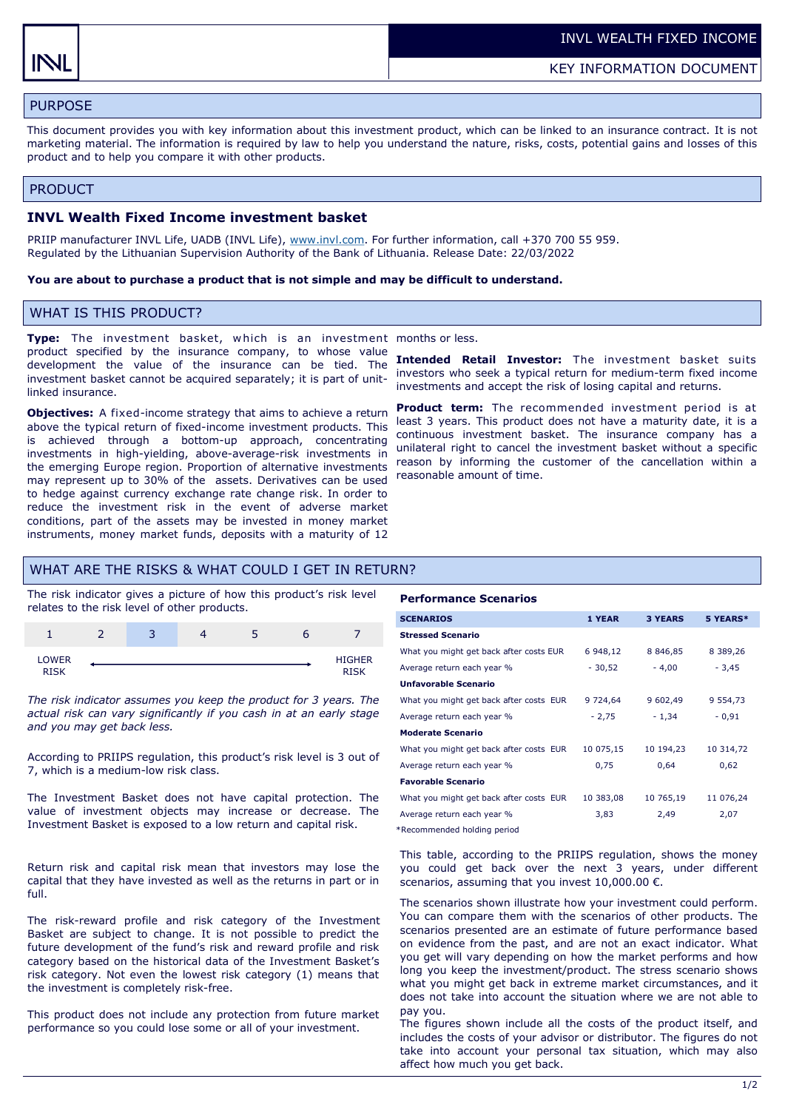# PURPOSE

This document provides you with key information about this investment product, which can be linked to an insurance contract. It is not marketing material. The information is required by law to help you understand the nature, risks, costs, potential gains and losses of this product and to help you compare it with other products.

### PRODUCT

## **INVL Wealth Fixed Income investment basket**

PRIIP manufacturer INVL Life, UADB (INVL Life), [www.invl.com.](http://www.invl.com) For further information, call +370 700 55 959. Regulated by the Lithuanian Supervision Authority of the Bank of Lithuania. Release Date: 22/03/2022

#### **You are about to purchase a product that is not simple and may be difficult to understand.**

## WHAT IS THIS PRODUCT?

**Type:** The investment basket, w hich is an investment months or less. product specified by the insurance company, to whose value development the value of the insurance can be tied. The investment basket cannot be acquired separately; it is part of unitlinked insurance.

**Objectives:** A fixed-income strategy that aims to achieve a return above the typical return of fixed-income investment products. This is achieved through a bottom-up approach, concentrating investments in high-yielding, above-average-risk investments in the emerging Europe region. Proportion of alternative investments may represent up to 30% of the assets. Derivatives can be used to hedge against currency exchange rate change risk. In order to reduce the investment risk in the event of adverse market conditions, part of the assets may be invested in money market instruments, money market funds, deposits with a maturity of 12

**Intended Retail Investor:** The investment basket suits investors who seek a typical return for medium-term fixed income investments and accept the risk of losing capital and returns.

**Product term:** The recommended investment period is at least 3 years. This product does not have a maturity date, it is a continuous investment basket. The insurance company has a unilateral right to cancel the investment basket without a specific reason by informing the customer of the cancellation within a reasonable amount of time.

## WHAT ARE THE RISKS & WHAT COULD I GET IN RETURN?

The risk indicator gives a picture of how this product's risk level relates to the risk level of other products.



*The risk indicator assumes you keep the product for 3 years. The actual risk can vary significantly if you cash in at an early stage and you may get back less.* 

According to PRIIPS regulation, this product's risk level is 3 out of 7, which is a medium-low risk class.

The Investment Basket does not have capital protection. The value of investment objects may increase or decrease. The Investment Basket is exposed to a low return and capital risk.

Return risk and capital risk mean that investors may lose the capital that they have invested as well as the returns in part or in full.

The risk-reward profile and risk category of the Investment Basket are subject to change. It is not possible to predict the future development of the fund's risk and reward profile and risk category based on the historical data of the Investment Basket's risk category. Not even the lowest risk category (1) means that the investment is completely risk-free.

This product does not include any protection from future market performance so you could lose some or all of your investment.

#### **Performance Scenarios**

| <b>SCENARIOS</b>                        | 1 YEAR    | <b>3 YEARS</b> | 5 YEARS*      |
|-----------------------------------------|-----------|----------------|---------------|
| <b>Stressed Scenario</b>                |           |                |               |
| What you might get back after costs EUR | 6 948,12  | 8 8 4 6 , 8 5  | 8 3 8 9 , 2 6 |
| Average return each year %              | $-30,52$  | $-4,00$        | $-3,45$       |
| <b>Unfavorable Scenario</b>             |           |                |               |
| What you might get back after costs EUR | 9 724,64  | 9 602,49       | 9 5 5 4 , 7 3 |
| Average return each year %              | $-2,75$   | $-1,34$        | $-0,91$       |
| <b>Moderate Scenario</b>                |           |                |               |
| What you might get back after costs EUR | 10 075,15 | 10 194,23      | 10 314,72     |
| Average return each year %              | 0,75      | 0,64           | 0,62          |
| <b>Favorable Scenario</b>               |           |                |               |
| What you might get back after costs EUR | 10 383,08 | 10 765,19      | 11 076,24     |
| Average return each year %              | 3,83      | 2,49           | 2,07          |

\*Recommended holding period

This table, according to the PRIIPS regulation, shows the money you could get back over the next 3 years, under different scenarios, assuming that you invest 10,000.00 €.

The scenarios shown illustrate how your investment could perform. You can compare them with the scenarios of other products. The scenarios presented are an estimate of future performance based on evidence from the past, and are not an exact indicator. What you get will vary depending on how the market performs and how long you keep the investment/product. The stress scenario shows what you might get back in extreme market circumstances, and it does not take into account the situation where we are not able to pay you.

The figures shown include all the costs of the product itself, and includes the costs of your advisor or distributor. The figures do not take into account your personal tax situation, which may also affect how much you get back.